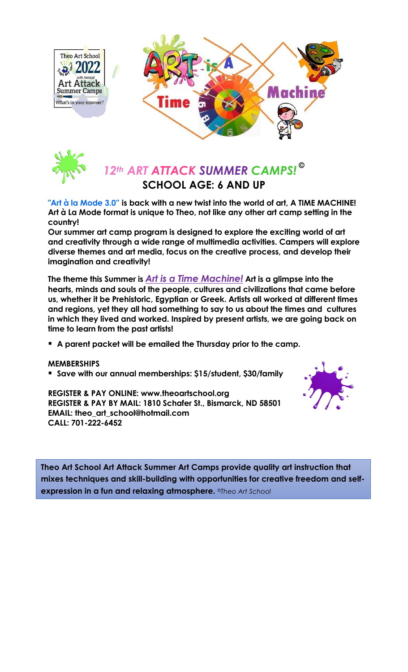



## *12th ART ATTACK SUMMER CAMPS!* **© SCHOOL AGE: 6 AND UP**

**"Art à la Mode 3.0" is back with a new twist into the world of art, A TIME MACHINE! Art à La Mode format is unique to Theo, not like any other art camp setting in the country!**

**Our summer art camp program is designed to explore the exciting world of art and creativity through a wide range of multimedia activities. Campers will explore diverse themes and art media, focus on the creative process, and develop their imagination and creativity!** 

**The theme this Summer is** *Art is a Time Machine!* **Art is a glimpse into the hearts, minds and souls of the people, cultures and civilizations that came before us, whether it be Prehistoric, Egyptian or Greek. Artists all worked at different times and regions, yet they all had something to say to us about the times and cultures in which they lived and worked. Inspired by present artists, we are going back on time to learn from the past artists!** 

**A parent packet will be emailed the Thursday prior to the camp.**

## **MEMBERSHIPS**

**Save with our annual memberships: \$15/student, \$30/family**

**REGISTER & PAY ONLINE: www.theoartschool.org REGISTER & PAY BY MAIL: 1810 Schafer St., Bismarck, ND 58501 EMAIL: theo\_art\_school@hotmail.com CALL: 701-222-6452**



**Theo Art School Art Attack Summer Art Camps provide quality art instruction that mixes techniques and skill-building with opportunities for creative freedom and selfexpression in a fun and relaxing atmosphere.** *©Theo Art School*